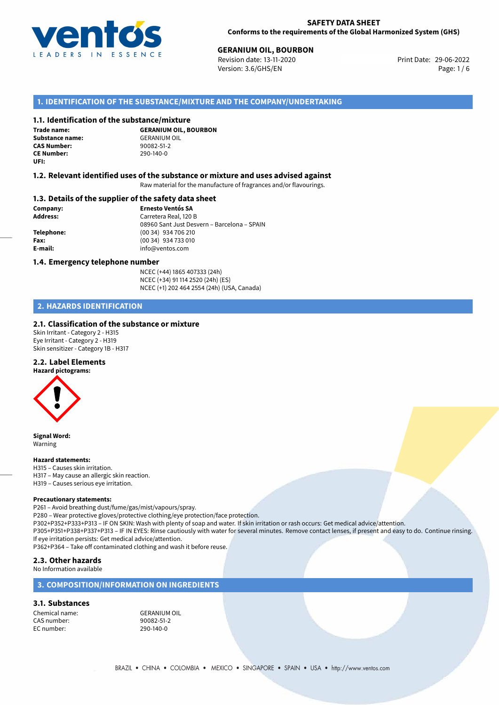

# **GERANIUM OIL, BOURBON**<br> **29-06-2022 General Print Date: 29-06-2022 Print Date: 29-06-2022**

Revision date: 13-11-2020 Version: 3.6/GHS/EN Page: 1/6

#### **1. IDENTIFICATION OF THE SUBSTANCE/MIXTURE AND THE COMPANY/UNDERTAKING**

#### **1.1. Identification of the substance/mixture**

**Trade name: Substance name:** GERANIUM OIL<br> **CAS Number:** 90082-51-2 **CAS Number: CE Number:** 290-140-0 **UFI:**

**GERANIUM OIL, BOURBON**

#### **1.2. Relevant identified uses of the substance or mixture and uses advised against**

Raw material for the manufacture of fragrances and/or flavourings.

#### **1.3. Details of the supplier of the safety data sheet**

**Company: Ernesto Ventós SA Address:** Carretera Real, 120 B 08960 Sant Just Desvern – Barcelona – SPAIN **Telephone:** (00 34) 934 706 210 **Fax:** (00 34) 934 733 010 **E-mail:** info@ventos.com

#### **1.4. Emergency telephone number**

NCEC (+44) 1865 407333 (24h) NCEC (+34) 91 114 2520 (24h) (ES) NCEC (+1) 202 464 2554 (24h) (USA, Canada)

#### **2. HAZARDS IDENTIFICATION**

#### **2.1. Classification of the substance or mixture**

Skin Irritant - Category 2 - H315 Eye Irritant - Category 2 - H319 Skin sensitizer - Category 1B - H317

#### **2.2. Label Elements**

**Hazard pictograms:**



**Signal Word:** Warning

#### **Hazard statements:**

H315 – Causes skin irritation. H317 – May cause an allergic skin reaction. H319 – Causes serious eye irritation.

#### **Precautionary statements:**

P261 – Avoid breathing dust/fume/gas/mist/vapours/spray.

P280 – Wear protective gloves/protective clothing/eye protection/face protection.

P302+P352+P333+P313 – IF ON SKIN: Wash with plenty of soap and water. If skin irritation or rash occurs: Get medical advice/attention. P305+P351+P338+P337+P313 – IF IN EYES: Rinse cautiously with water for several minutes. Remove contact lenses, if present and easy to do. Continue rinsing. If eye irritation persists: Get medical advice/attention.

P362+P364 – Take off contaminated clothing and wash it before reuse.

#### **2.3. Other hazards**

No Information available

#### **3. COMPOSITION/INFORMATION ON INGREDIENTS**

#### **3.1. Substances**

Chemical name: GERANIUM OIL<br>
CAS number: 90082-51-2 CAS number: EC number: 290-140-0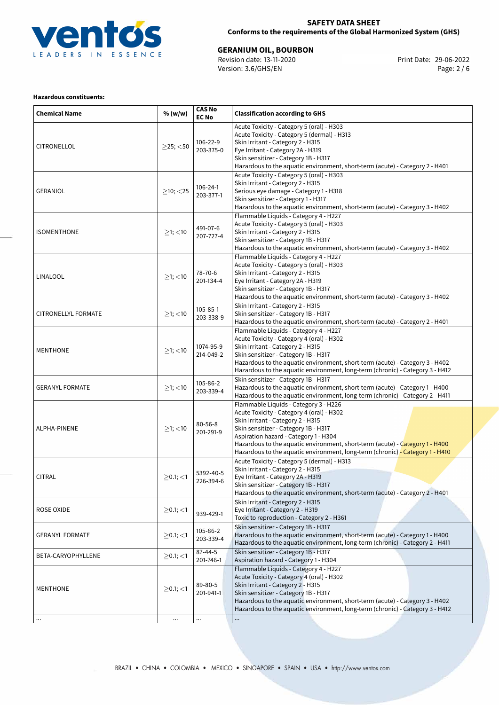

#### **SAFETY DATA SHEET Conforms to the requirements of the Global Harmonized System (GHS)**

**GERANIUM OIL, BOURBON**<br>
Revision date: 13-11-2020<br>
Version: 3.6/GHS/EN

Print Date: 29-06-2022<br>
Print Date: 29-06-2022<br>
Page: 2/6 Revision date: 13-11-2020 Version: 3.6/GHS/EN

#### **Hazardous constituents:**

| <b>Chemical Name</b>   | % (w/w)           | <b>CAS No</b><br><b>EC No</b> | <b>Classification according to GHS</b>                                                                                                                                                                                                                                                                                                                                    |  |
|------------------------|-------------------|-------------------------------|---------------------------------------------------------------------------------------------------------------------------------------------------------------------------------------------------------------------------------------------------------------------------------------------------------------------------------------------------------------------------|--|
| <b>CITRONELLOL</b>     | $>$ 25; $<$ 50    | 106-22-9<br>203-375-0         | Acute Toxicity - Category 5 (oral) - H303<br>Acute Toxicity - Category 5 (dermal) - H313<br>Skin Irritant - Category 2 - H315<br>Eye Irritant - Category 2A - H319<br>Skin sensitizer - Category 1B - H317<br>Hazardous to the aquatic environment, short-term (acute) - Category 2 - H401                                                                                |  |
| <b>GERANIOL</b>        | $\geq$ 10; <25    | 106-24-1<br>203-377-1         | Acute Toxicity - Category 5 (oral) - H303<br>Skin Irritant - Category 2 - H315<br>Serious eye damage - Category 1 - H318<br>Skin sensitizer - Category 1 - H317<br>Hazardous to the aquatic environment, short-term (acute) - Category 3 - H402                                                                                                                           |  |
| <b>ISOMENTHONE</b>     | $\geq$ 1; <10     | 491-07-6<br>207-727-4         | Flammable Liquids - Category 4 - H227<br>Acute Toxicity - Category 5 (oral) - H303<br>Skin Irritant - Category 2 - H315<br>Skin sensitizer - Category 1B - H317<br>Hazardous to the aquatic environment, short-term (acute) - Category 3 - H402                                                                                                                           |  |
| LINALOOL               | $\geq$ 1; $<$ 10  | 78-70-6<br>201-134-4          | Flammable Liquids - Category 4 - H227<br>Acute Toxicity - Category 5 (oral) - H303<br>Skin Irritant - Category 2 - H315<br>Eye Irritant - Category 2A - H319<br>Skin sensitizer - Category 1B - H317<br>Hazardous to the aquatic environment, short-term (acute) - Category 3 - H402                                                                                      |  |
| CITRONELLYL FORMATE    | $\geq$ 1; <10     | 105-85-1<br>203-338-9         | Skin Irritant - Category 2 - H315<br>Skin sensitizer - Category 1B - H317<br>Hazardous to the aquatic environment, short-term (acute) - Category 2 - H401                                                                                                                                                                                                                 |  |
| <b>MENTHONE</b>        | $\geq$ 1; <10     | 1074-95-9<br>214-049-2        | Flammable Liquids - Category 4 - H227<br>Acute Toxicity - Category 4 (oral) - H302<br>Skin Irritant - Category 2 - H315<br>Skin sensitizer - Category 1B - H317<br>Hazardous to the aquatic environment, short-term (acute) - Category 3 - H402<br>Hazardous to the aquatic environment, long-term (chronic) - Category 3 - H412                                          |  |
| <b>GERANYL FORMATE</b> | $\geq$ 1; $<$ 10  | 105-86-2<br>203-339-4         | Skin sensitizer - Category 1B - H317<br>Hazardous to the aquatic environment, short-term (acute) - Category 1 - H400<br>Hazardous to the aquatic environment, long-term (chronic) - Category 2 - H411                                                                                                                                                                     |  |
| ALPHA-PINENE           | $\geq$ 1; <10     | $80 - 56 - 8$<br>201-291-9    | Flammable Liquids - Category 3 - H226<br>Acute Toxicity - Category 4 (oral) - H302<br>Skin Irritant - Category 2 - H315<br>Skin sensitizer - Category 1B - H317<br>Aspiration hazard - Category 1 - H304<br>Hazardous to the aquatic environment, short-term (acute) - Category 1 - H400<br>Hazardous to the aquatic environment, long-term (chronic) - Category 1 - H410 |  |
| <b>CITRAL</b>          | $>$ 0.1; $<$ 1    | 5392-40-5<br>226-394-6        | Acute Toxicity - Category 5 (dermal) - H313<br>Skin Irritant - Category 2 - H315<br>Eye Irritant - Category 2A - H319<br>Skin sensitizer - Category 1B - H317<br>Hazardous to the aquatic environment, short-term (acute) - Category 2 - H401                                                                                                                             |  |
| <b>ROSE OXIDE</b>      | $\geq$ 0.1; <1    | 939-429-1                     | Skin Irritant - Category 2 - H315<br>Eye Irritant - Category 2 - H319<br>Toxic to reproduction - Category 2 - H361                                                                                                                                                                                                                                                        |  |
| <b>GERANYL FORMATE</b> | $>0.1$ ; <1       | 105-86-2<br>203-339-4         | Skin sensitizer - Category 1B - H317<br>Hazardous to the aquatic environment, short-term (acute) - Category 1 - H400<br>Hazardous to the aquatic environment, long-term (chronic) - Category 2 - H411                                                                                                                                                                     |  |
| BETA-CARYOPHYLLENE     | $\geq$ 0.1; $<$ 1 | 87-44-5<br>201-746-1          | Skin sensitizer - Category 1B - H317<br>Aspiration hazard - Category 1 - H304                                                                                                                                                                                                                                                                                             |  |
| <b>MENTHONE</b>        | $\geq$ 0.1; $<$ 1 | 89-80-5<br>201-941-1          | Flammable Liquids - Category 4 - H227<br>Acute Toxicity - Category 4 (oral) - H302<br>Skin Irritant - Category 2 - H315<br>Skin sensitizer - Category 1B - H317<br>Hazardous to the aquatic environment, short-term (acute) - Category 3 - H402<br>Hazardous to the aquatic environment, long-term (chronic) - Category 3 - H412                                          |  |
|                        | $\cdots$          | $\cdots$                      |                                                                                                                                                                                                                                                                                                                                                                           |  |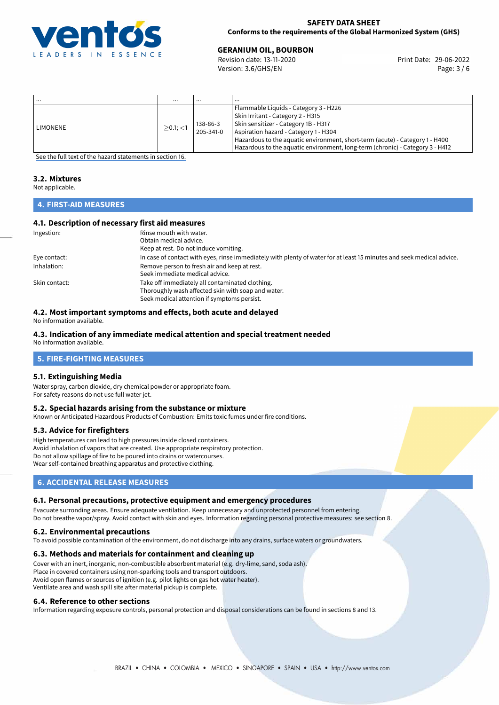

#### **SAFETY DATA SHEET Conforms to the requirements of the Global Harmonized System (GHS)**

# **GERANIUM OIL, BOURBON**<br> **29-06-2022 General Print Date: 29-06-2022 Print Date: 29-06-2022**

Revision date: 13-11-2020 Version: 3.6/GHS/EN Page: 3 / 6

| $\cdots$ | $\cdots$       | $\cdots$              | $\cdots$                                                                                                                                                                                                                                                                                                                     |
|----------|----------------|-----------------------|------------------------------------------------------------------------------------------------------------------------------------------------------------------------------------------------------------------------------------------------------------------------------------------------------------------------------|
| LIMONENE | $>0.1$ ; $<$ 1 | 138-86-3<br>205-341-0 | Flammable Liquids - Category 3 - H226<br>Skin Irritant - Category 2 - H315<br>Skin sensitizer - Category 1B - H317<br>Aspiration hazard - Category 1 - H304<br>Hazardous to the aquatic environment, short-term (acute) - Category 1 - H400<br>Hazardous to the aquatic environment, long-term (chronic) - Category 3 - H412 |

[See the full text of the hazard statements in section 16.](#page-5-0)

# **3.2. Mixtures**

Not applicable.

#### **4. FIRST-AID MEASURES**

#### **4.1. Description of necessary first aid measures**

| Ingestion:    | Rinse mouth with water.                                                                                               |
|---------------|-----------------------------------------------------------------------------------------------------------------------|
|               | Obtain medical advice.                                                                                                |
|               | Keep at rest. Do not induce vomiting.                                                                                 |
| Eye contact:  | In case of contact with eyes, rinse immediately with plenty of water for at least 15 minutes and seek medical advice. |
| Inhalation:   | Remove person to fresh air and keep at rest.                                                                          |
|               | Seek immediate medical advice.                                                                                        |
| Skin contact: | Take off immediately all contaminated clothing.                                                                       |
|               | Thoroughly wash affected skin with soap and water.                                                                    |
|               | Seek medical attention if symptoms persist.                                                                           |

#### **4.2. Most important symptoms and effects, both acute and delayed** No information available.

#### **4.3. Indication of any immediate medical attention and special treatment needed**

No information available.

#### **5. FIRE-FIGHTING MEASURES**

### **5.1. Extinguishing Media**

Water spray, carbon dioxide, dry chemical powder or appropriate foam. For safety reasons do not use full water jet.

#### **5.2. Special hazards arising from the substance or mixture**

Known or Anticipated Hazardous Products of Combustion: Emits toxic fumes under fire conditions.

#### **5.3. Advice for firefighters**

High temperatures can lead to high pressures inside closed containers. Avoid inhalation of vapors that are created. Use appropriate respiratory protection. Do not allow spillage of fire to be poured into drains or watercourses. Wear self-contained breathing apparatus and protective clothing.

### **6. ACCIDENTAL RELEASE MEASURES**

#### **6.1. Personal precautions, protective equipment and emergency procedures**

Evacuate surronding areas. Ensure adequate ventilation. Keep unnecessary and unprotected personnel from entering. Do not breathe vapor/spray. Avoid contact with skin and eyes. Information regarding personal protective measures: see section 8.

#### **6.2. Environmental precautions**

To avoid possible contamination of the environment, do not discharge into any drains, surface waters or groundwaters.

#### **6.3. Methods and materials for containment and cleaning up**

Cover with an inert, inorganic, non-combustible absorbent material (e.g. dry-lime, sand, soda ash). Place in covered containers using non-sparking tools and transport outdoors. Avoid open flames or sources of ignition (e.g. pilot lights on gas hot water heater). Ventilate area and wash spill site after material pickup is complete.

#### **6.4. Reference to other sections**

Information regarding exposure controls, personal protection and disposal considerations can be found in sections 8 and 13.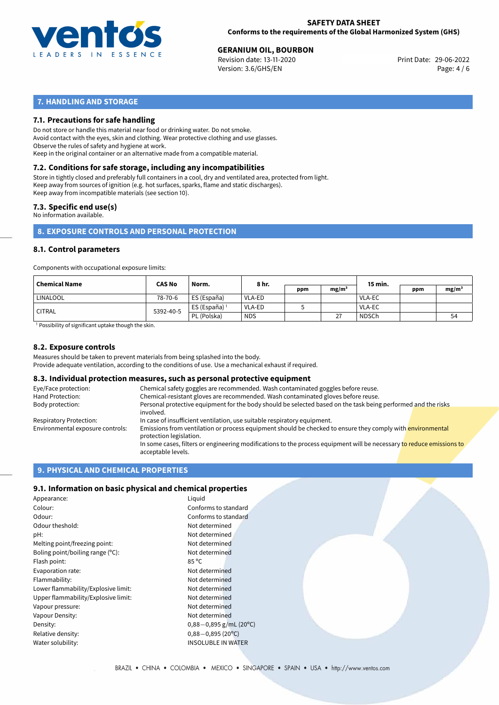

# **GERANIUM OIL, BOURBON**<br> **29-06-2022 General Print Date: 29-06-2022 Print Date: 29-06-2022**

Revision date: 13-11-2020 Version: 3.6/GHS/EN Page: 4 / 6

#### **7. HANDLING AND STORAGE**

#### **7.1. Precautions for safe handling**

Do not store or handle this material near food or drinking water. Do not smoke. Avoid contact with the eyes, skin and clothing. Wear protective clothing and use glasses. Observe the rules of safety and hygiene at work. Keep in the original container or an alternative made from a compatible material.

## **7.2. Conditions for safe storage, including any incompatibilities**

Store in tightly closed and preferably full containers in a cool, dry and ventilated area, protected from light. Keep away from sources of ignition (e.g. hot surfaces, sparks, flame and static discharges). Keep away from incompatible materials (see section 10).

#### **7.3. Specific end use(s)**

No information available.

**8. EXPOSURE CONTROLS AND PERSONAL PROTECTION**

#### **8.1. Control parameters**

Components with occupational exposure limits:

| Chemical Name       | <b>CAS No</b> | Norm.                    | 8 hr.         |     |                   | 15 min.       |     |                   |
|---------------------|---------------|--------------------------|---------------|-----|-------------------|---------------|-----|-------------------|
|                     |               |                          |               | ppm | mg/m <sup>3</sup> |               | ppm | mg/m <sup>3</sup> |
| ' LINALOOL          | 78-70-6       | ES (España)              | <b>VLA-ED</b> |     |                   | <b>VLA-EC</b> |     |                   |
| <sup>'</sup> CITRAL | 5392-40-5     | ES (España) <sup>1</sup> | <b>VLA-ED</b> |     |                   | <b>VLA-EC</b> |     |                   |
|                     |               | PL (Polska)              | <b>NDS</b>    |     | 27                | <b>NDSCh</b>  |     | 54                |

<sup>1</sup> Possibility of significant uptake though the skin.

#### **8.2. Exposure controls**

Measures should be taken to prevent materials from being splashed into the body.

acceptable levels.

# Provide adequate ventilation, according to the conditions of use. Use a mechanical exhaust if required.

#### **8.3. Individual protection measures, such as personal protective equipment** Eye/Face protection: Chemical safety goggles are recommended. Wash contaminated goggles before reuse. Hand Protection: Chemical-resistant gloves are recommended. Wash contaminated gloves before reuse.<br>Body protection: Personal protective equipment for the body should be selected based on the task bein Personal protective equipment for the body should be selected based on the task being performed and the risks involved. Respiratory Protection: In case of insufficient ventilation, use suitable respiratory equipment. Environmental exposure controls: Emissions from ventilation or process equipment should be checked to ensure they comply with *environmental* protection legislation. In some cases, filters or engineering modifications to the process equipment will be necessary to reduce emissions to

#### **9. PHYSICAL AND CHEMICAL PROPERTIES**

#### **9.1. Information on basic physical and chemical properties**

| Appearance:                         | Liquid                    |
|-------------------------------------|---------------------------|
| Colour:                             | Conforms to standard      |
| Odour:                              | Conforms to standard      |
| Odour theshold:                     | Not determined            |
| pH:                                 | Not determined            |
| Melting point/freezing point:       | Not determined            |
| Boling point/boiling range (°C):    | Not determined            |
| Flash point:                        | $85^{\circ}$ C            |
| Evaporation rate:                   | Not determined            |
| Flammability:                       | Not determined            |
| Lower flammability/Explosive limit: | Not determined            |
| Upper flammability/Explosive limit: | Not determined            |
| Vapour pressure:                    | Not determined            |
| Vapour Density:                     | Not determined            |
| Density:                            | $0,88-0,895$ g/mL (20)    |
| Relative density:                   | $0,88 - 0,895$ (20°C)     |
| Water solubility:                   | <b>INSOLUBLE IN WATER</b> |

g/mL (20°C)<br>(20°C)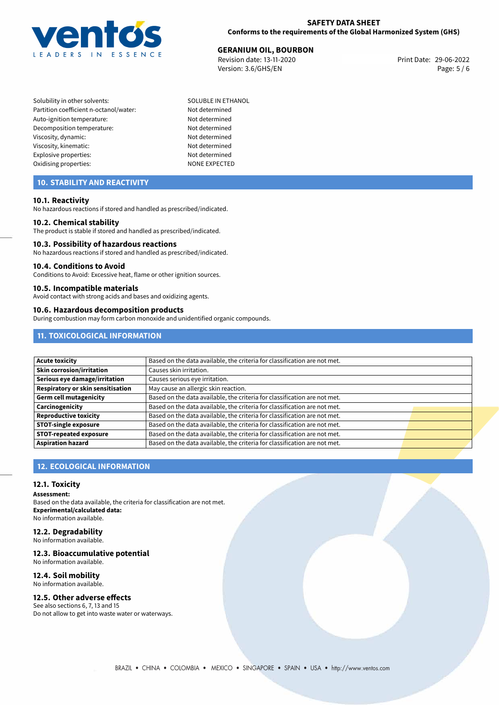

# **GERANIUM OIL, BOURBON**<br> **29-06-2022 Revision date: 13-11-2020 GER**

Revision date: 13-11-2020 Version: 3.6/GHS/EN Page: 5 / 6

- Solubility in other solvents: SOLUBLE IN ETHANOL Partition coefficient n-octanol/water: Not determined Auto-ignition temperature: Not determined Decomposition temperature: Not determined Viscosity, dynamic: Not determined Viscosity, kinematic: Not determined Explosive properties: Not determined Oxidising properties: NONE EXPECTED
	-

### **10. STABILITY AND REACTIVITY**

#### **10.1. Reactivity**

No hazardous reactions if stored and handled as prescribed/indicated.

#### **10.2. Chemical stability**

The product is stable if stored and handled as prescribed/indicated.

#### **10.3. Possibility of hazardous reactions**

No hazardous reactions if stored and handled as prescribed/indicated.

#### **10.4. Conditions to Avoid**

Conditions to Avoid: Excessive heat, flame or other ignition sources.

#### **10.5. Incompatible materials**

Avoid contact with strong acids and bases and oxidizing agents.

#### **10.6. Hazardous decomposition products**

During combustion may form carbon monoxide and unidentified organic compounds.

### **11. TOXICOLOGICAL INFORMATION**

| <b>Acute toxicity</b>             | Based on the data available, the criteria for classification are not met. |  |
|-----------------------------------|---------------------------------------------------------------------------|--|
| Skin corrosion/irritation         | Causes skin irritation.                                                   |  |
| Serious eye damage/irritation     | Causes serious eye irritation.                                            |  |
| Respiratory or skin sensitisation | May cause an allergic skin reaction.                                      |  |
| Germ cell mutagenicity            | Based on the data available, the criteria for classification are not met. |  |
| Carcinogenicity                   | Based on the data available, the criteria for classification are not met. |  |
| <b>Reproductive toxicity</b>      | Based on the data available, the criteria for classification are not met. |  |
| <b>STOT-single exposure</b>       | Based on the data available, the criteria for classification are not met. |  |
| <b>STOT-repeated exposure</b>     | Based on the data available, the criteria for classification are not met. |  |
| <b>Aspiration hazard</b>          | Based on the data available, the criteria for classification are not met. |  |

### **12. ECOLOGICAL INFORMATION**

#### **12.1. Toxicity**

**Assessment:**

Based on the data available, the criteria for classification are not met. **Experimental/calculated data:** No information available.

### **12.2. Degradability**

No information available.

#### **12.3. Bioaccumulative potential**

No information available.

### **12.4. Soil mobility**

No information available.

#### **12.5. Other adverse effects**

See also sections 6, 7, 13 and 15 Do not allow to get into waste water or waterways.